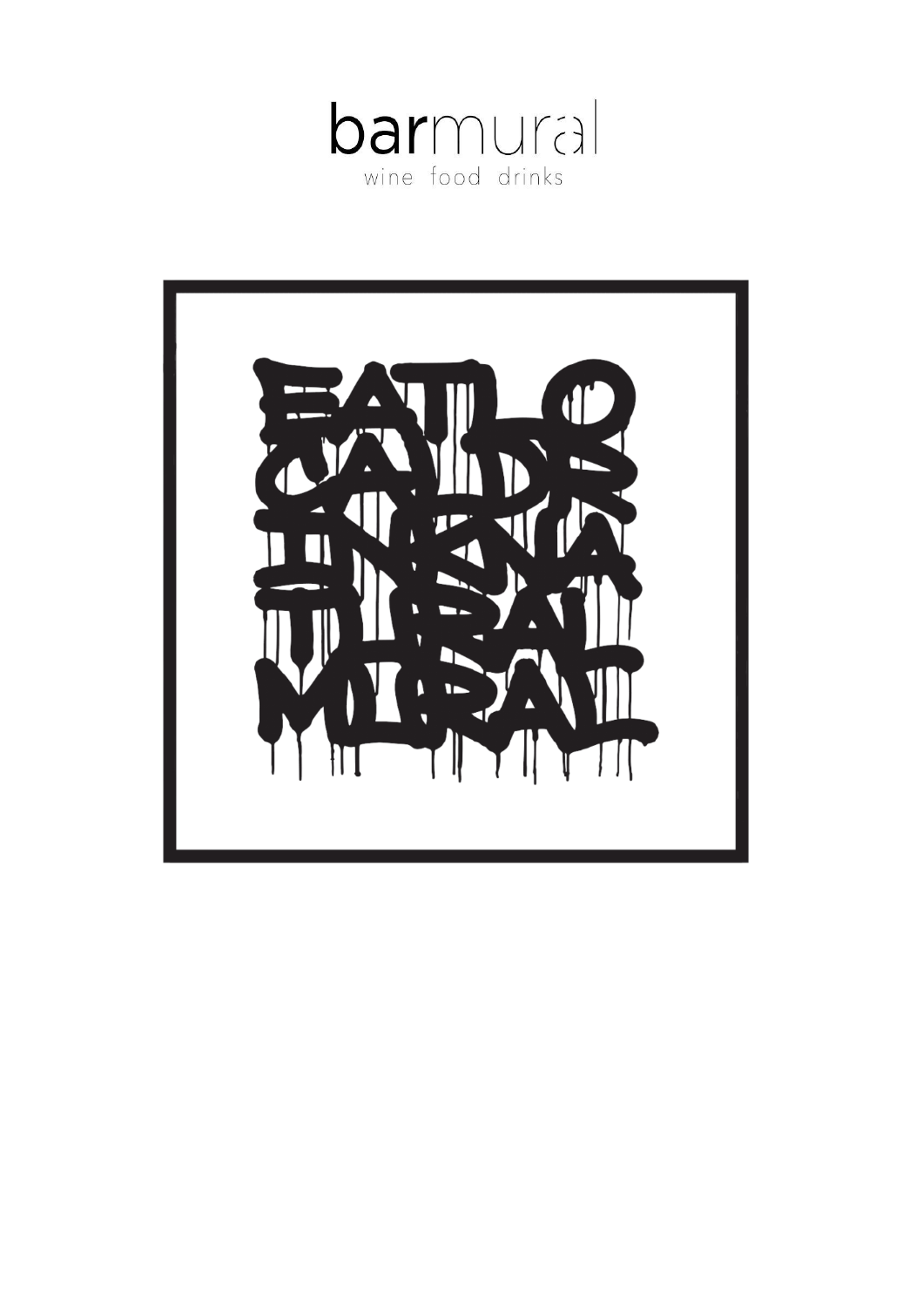

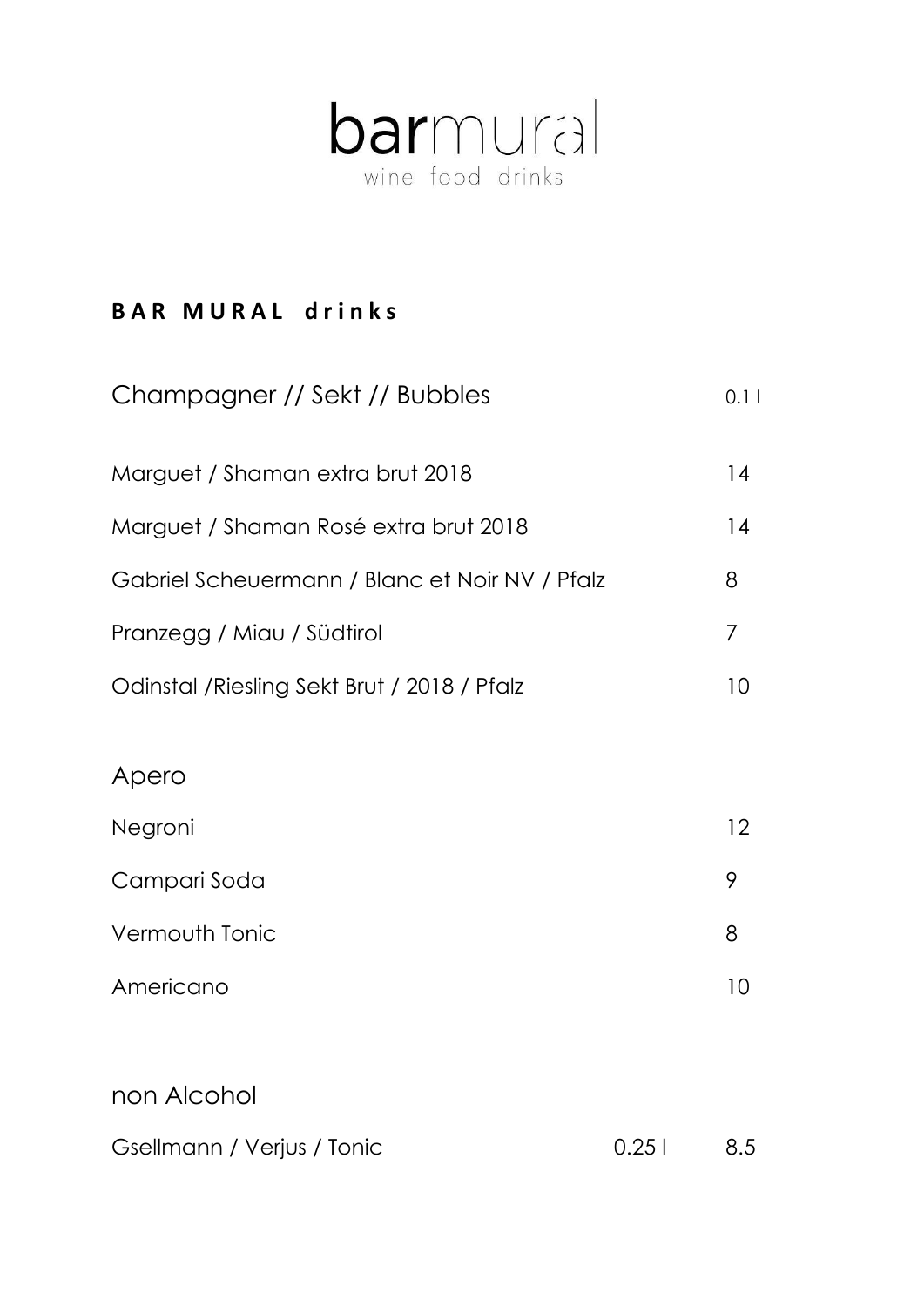

### **BAR MURAL drinks**

| Champagner // Sekt // Bubbles                  |       | 0.11 |
|------------------------------------------------|-------|------|
| Marguet / Shaman extra brut 2018               |       | 14   |
| Marguet / Shaman Rosé extra brut 2018          |       | 14   |
| Gabriel Scheuermann / Blanc et Noir NV / Pfalz |       | 8    |
| Pranzegg / Miau / Südtirol                     |       | 7    |
| Odinstal / Riesling Sekt Brut / 2018 / Pfalz   |       | 10   |
|                                                |       |      |
| Apero                                          |       |      |
| Negroni                                        |       | 12   |
| Campari Soda                                   |       | 9    |
| <b>Vermouth Tonic</b>                          |       | 8    |
| Americano                                      |       | 10   |
|                                                |       |      |
| non Alcohol                                    |       |      |
| Gsellmann / Verjus / Tonic                     | 0.251 | 8.5  |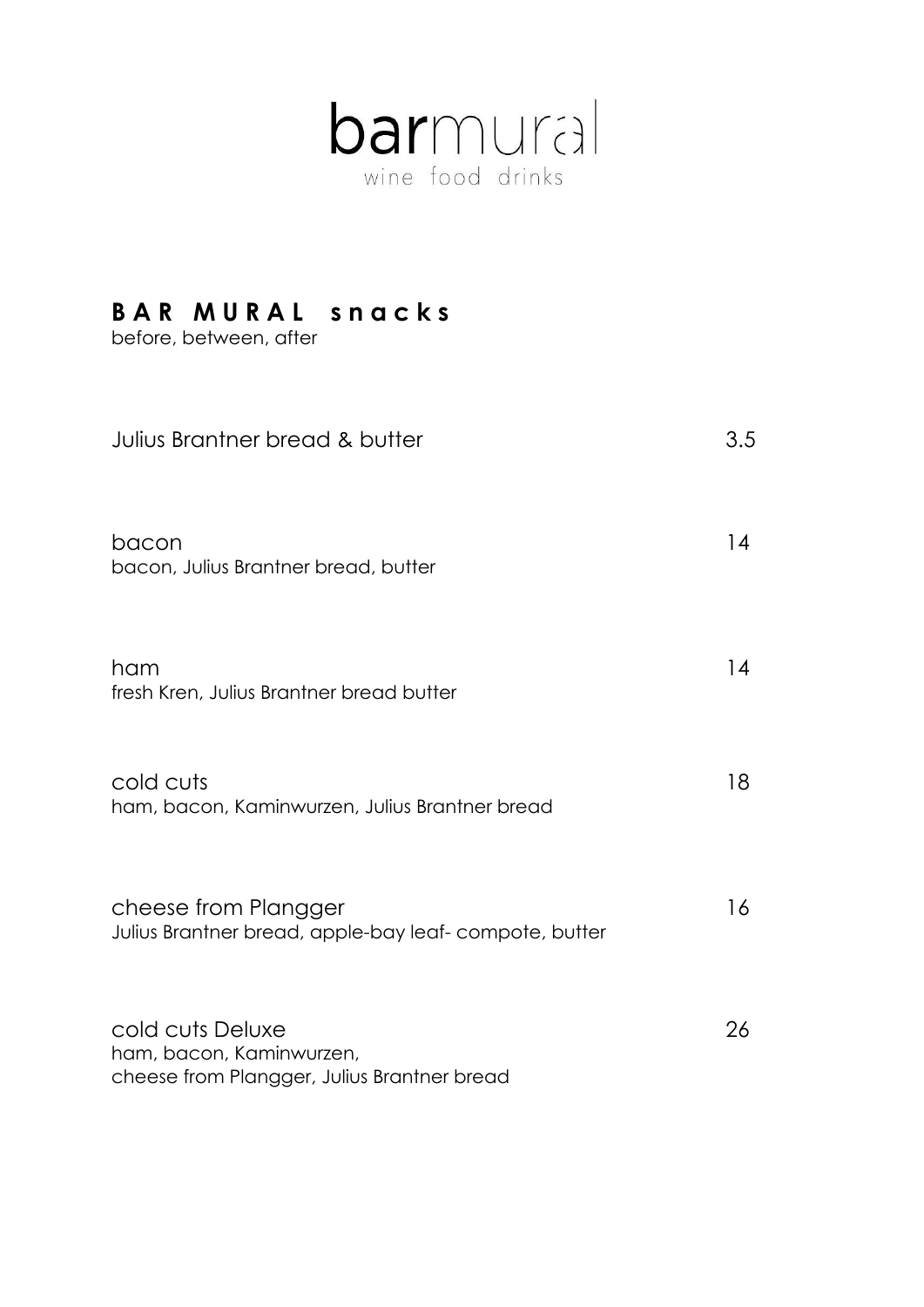

## **B A R M U R A L s n a c k s**

before, between, after

| Julius Brantner bread & butter                                                              | 3.5 |
|---------------------------------------------------------------------------------------------|-----|
| bacon<br>bacon, Julius Brantner bread, butter                                               | 14  |
| ham<br>fresh Kren, Julius Brantner bread butter                                             | 14  |
| cold cuts<br>ham, bacon, Kaminwurzen, Julius Brantner bread                                 | 18  |
| cheese from Plangger<br>Julius Brantner bread, apple-bay leaf-compote, butter               | 16  |
| cold cuts Deluxe<br>ham, bacon, Kaminwurzen,<br>cheese from Plangger, Julius Brantner bread | 26  |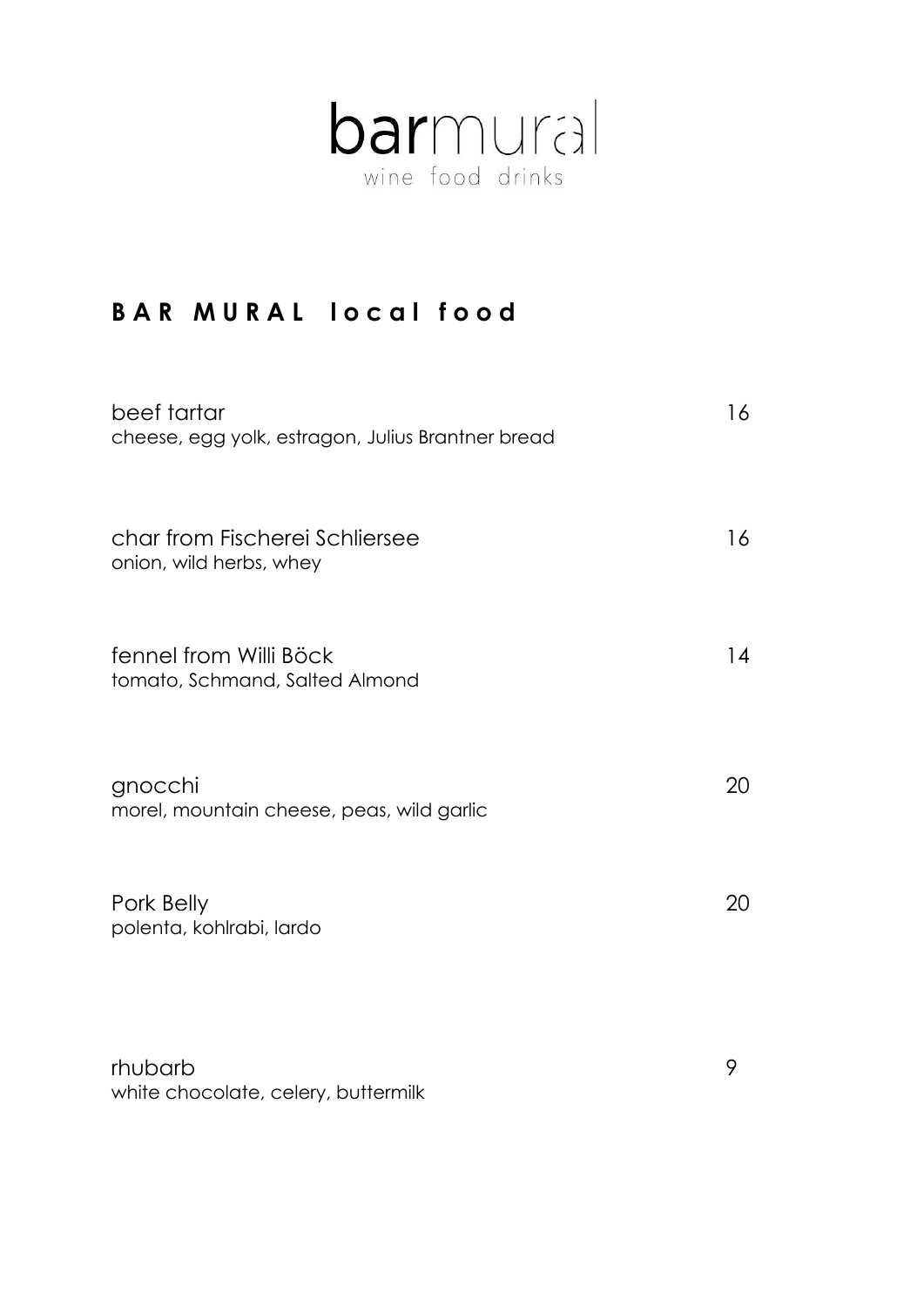

## **BAR MURAL local food**

| beef tartar<br>cheese, egg yolk, estragon, Julius Brantner bread | 16 |
|------------------------------------------------------------------|----|
| char from Fischerei Schliersee<br>onion, wild herbs, whey        | 16 |
| fennel from Willi Böck<br>tomato, Schmand, Salted Almond         | 14 |
| gnocchi<br>morel, mountain cheese, peas, wild garlic             | 20 |
| Pork Belly<br>polenta, kohlrabi, lardo                           | 20 |
| rhubarb                                                          | 9  |

white chocolate, celery, buttermilk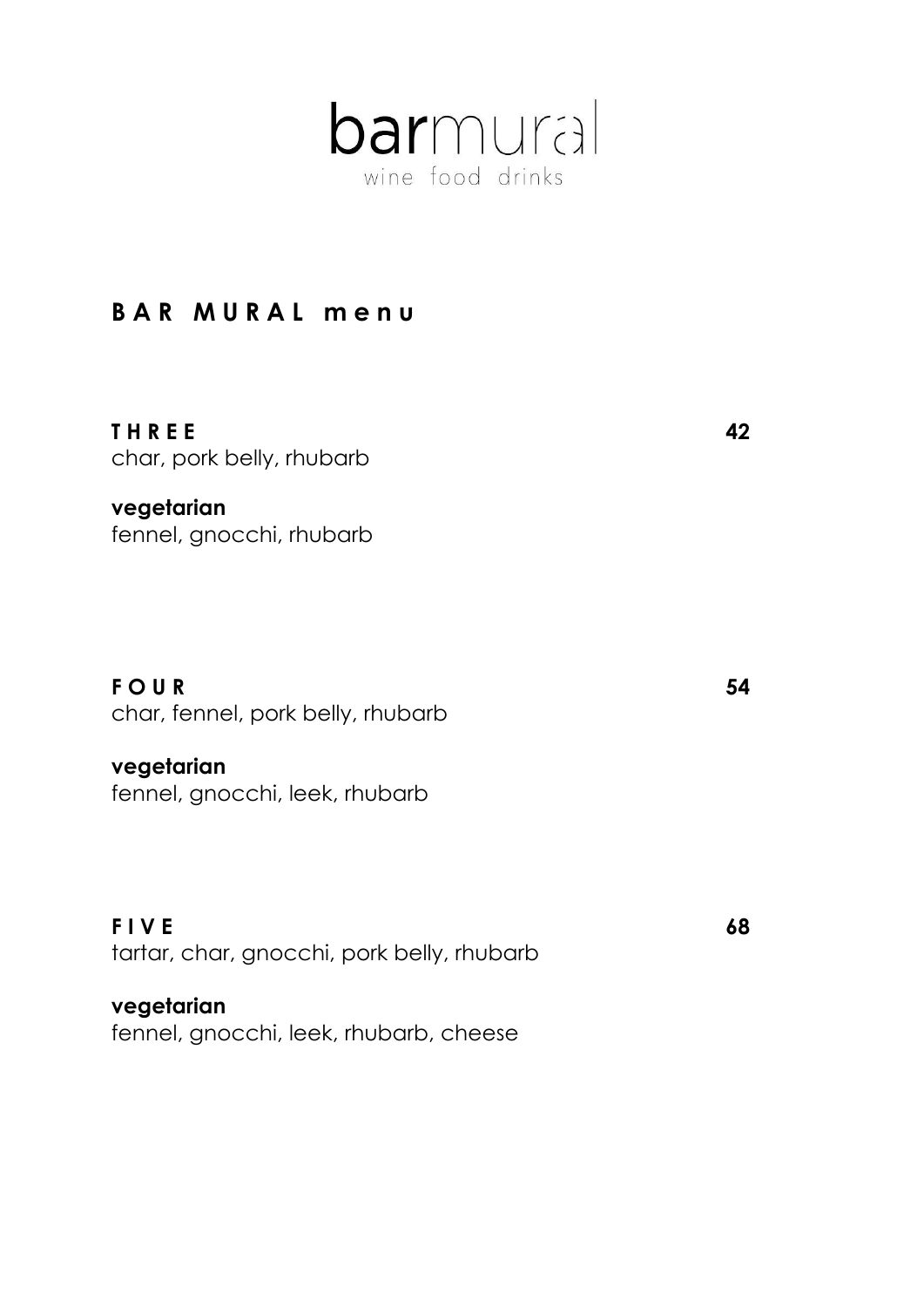

### **B A R M U R A L m e n u**

**T H R E E 42** char, pork belly, rhubarb

**vegetarian** fennel, gnocchi, rhubarb

**FOUR** 54 char, fennel, pork belly, rhubarb

**vegetarian** fennel, gnocchi, leek, rhubarb

**F I V E** 68 tartar, char, gnocchi, pork belly, rhubarb

**vegetarian** fennel, gnocchi, leek, rhubarb, cheese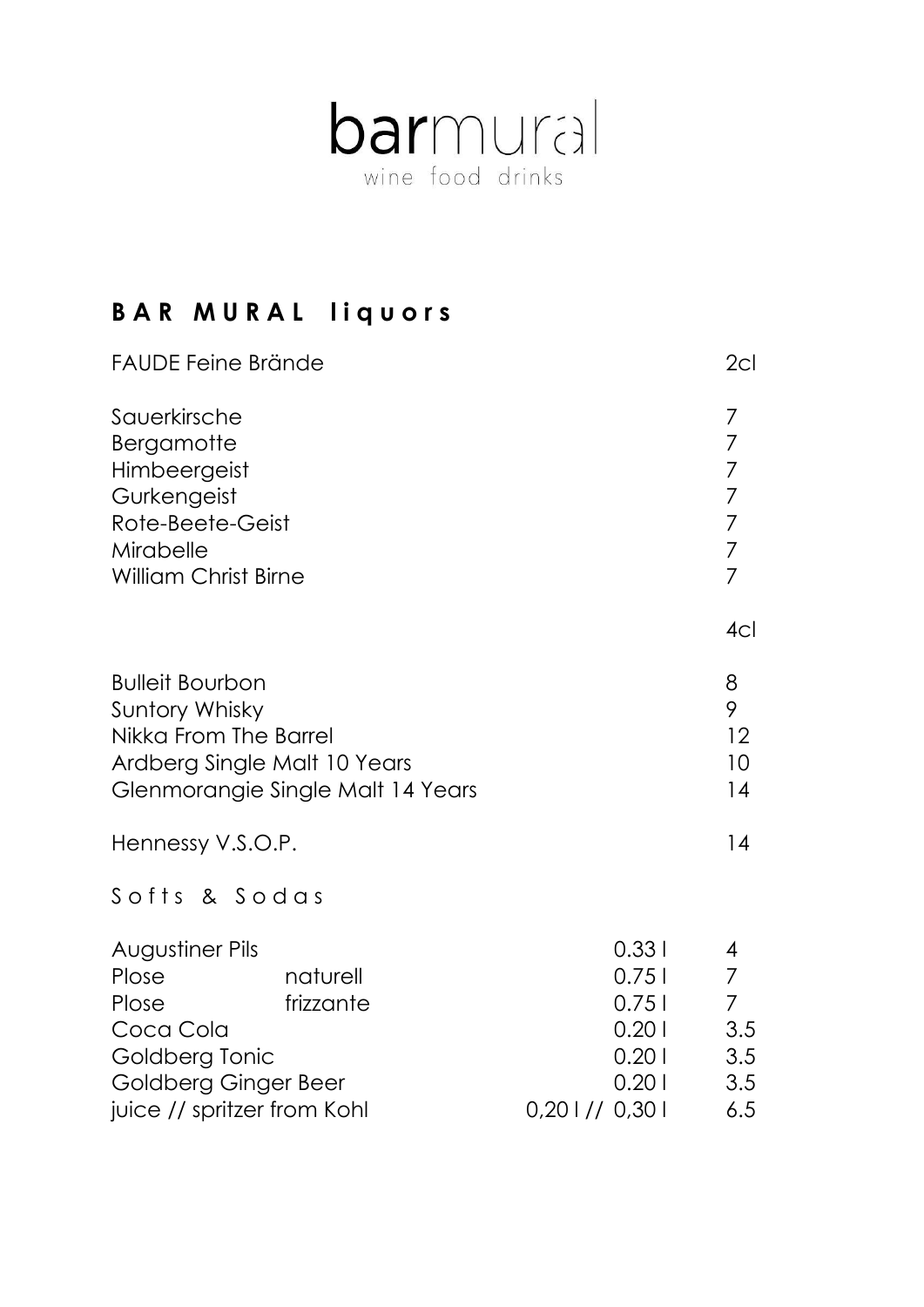

# **B A R M U R A L l i q u o r s**

| <b>FAUDE Feine Brände</b>                                                                                                                        |                                                                          | 2cl                                                                                                           |
|--------------------------------------------------------------------------------------------------------------------------------------------------|--------------------------------------------------------------------------|---------------------------------------------------------------------------------------------------------------|
| Sauerkirsche<br>Bergamotte<br>Himbeergeist<br>Gurkengeist<br>Rote-Beete-Geist<br>Mirabelle<br><b>William Christ Birne</b>                        |                                                                          | 7<br>$\overline{7}$<br>$\overline{7}$<br>$\overline{7}$<br>$\overline{7}$<br>$\overline{7}$<br>$\overline{7}$ |
|                                                                                                                                                  |                                                                          | 4 <sub>Cl</sub>                                                                                               |
| <b>Bulleit Bourbon</b><br><b>Suntory Whisky</b><br>Nikka From The Barrel<br>Ardberg Single Malt 10 Years<br>Glenmorangie Single Malt 14 Years    |                                                                          | 8<br>9<br>12<br>10 <sup>°</sup><br>14                                                                         |
| Hennessy V.S.O.P.                                                                                                                                |                                                                          | 14                                                                                                            |
| Softs & Sodas                                                                                                                                    |                                                                          |                                                                                                               |
| Augustiner Pils<br>naturell<br>Plose<br>Plose<br>frizzante<br>Coca Cola<br>Goldberg Tonic<br>Goldberg Ginger Beer<br>juice // spritzer from Kohl | 0.331<br>0.751<br>0.751<br>0.201<br>0.201<br>0.201<br>$0,20$   // $0,30$ | 4<br>$\overline{7}$<br>$\overline{7}$<br>3.5<br>3.5<br>3.5<br>6.5                                             |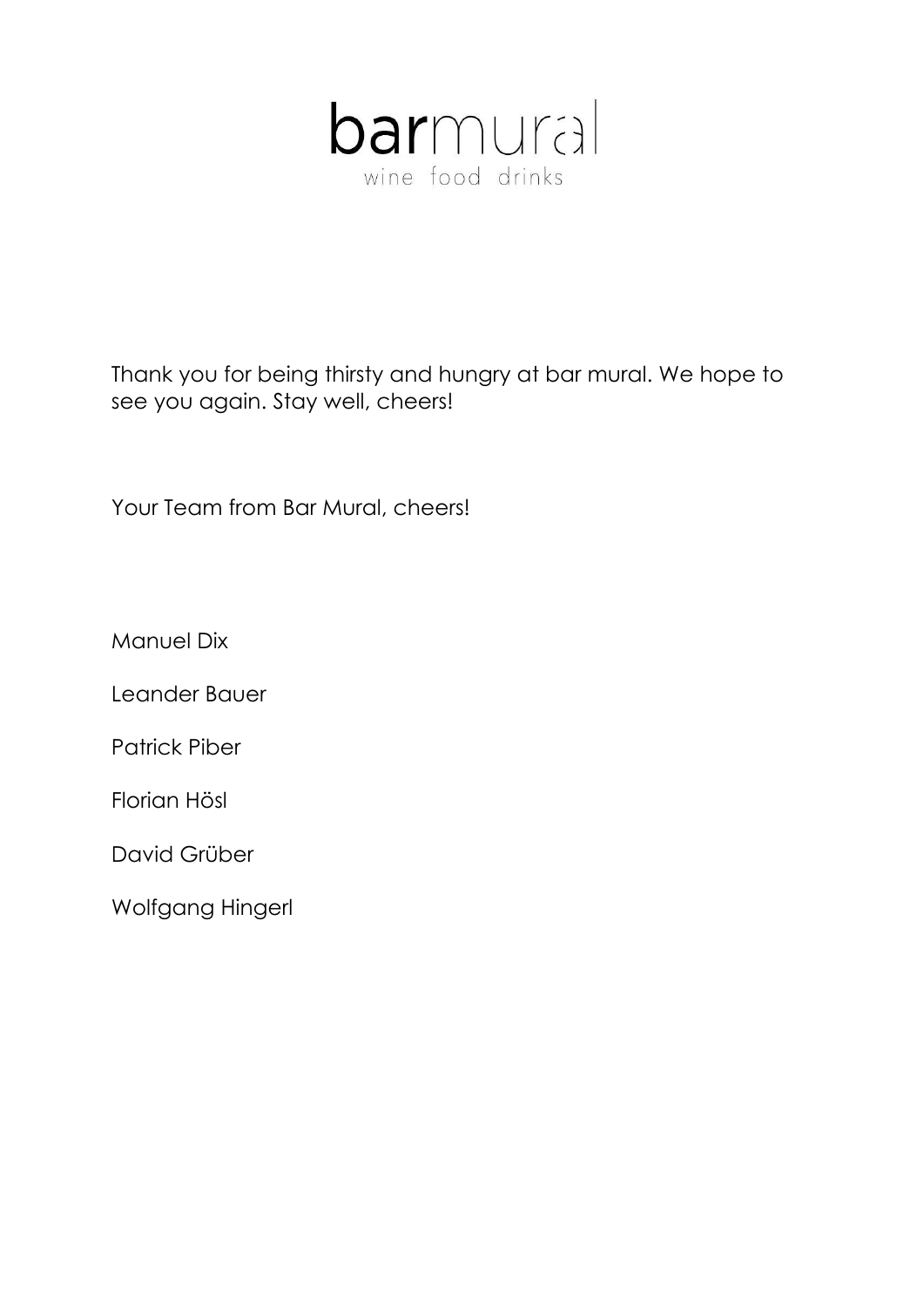

Thank you for being thirsty and hungry at bar mural. We hope to see you again. Stay well, cheers!

Your Team from Bar Mural, cheers!

Manuel Dix

Leander Bauer

Patrick Piber

Florian Hösl

David Grüber

Wolfgang Hingerl